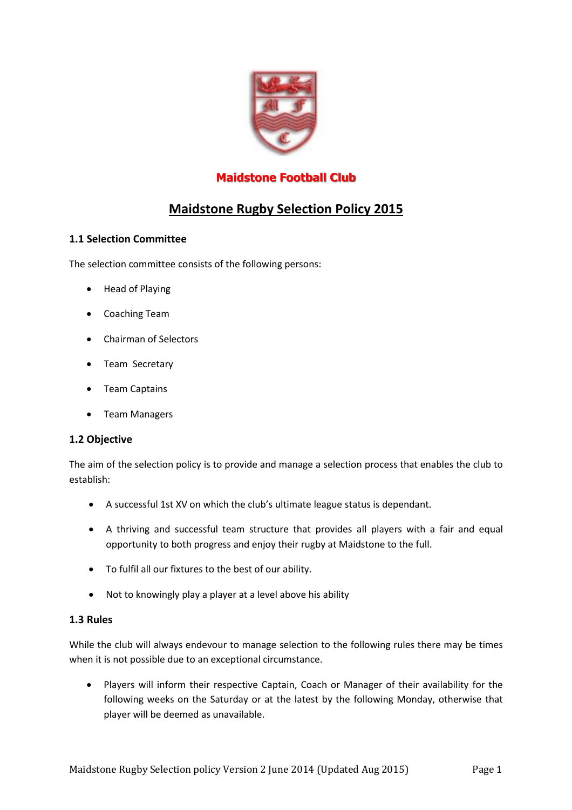

## **Maidstone Football Club**

# **Maidstone Rugby Selection Policy 2015**

### **1.1 Selection Committee**

The selection committee consists of the following persons:

- Head of Playing
- Coaching Team
- Chairman of Selectors
- Team Secretary
- Team Captains
- Team Managers

#### **1.2 Objective**

The aim of the selection policy is to provide and manage a selection process that enables the club to establish:

- A successful 1st XV on which the club's ultimate league status is dependant.
- A thriving and successful team structure that provides all players with a fair and equal opportunity to both progress and enjoy their rugby at Maidstone to the full.
- To fulfil all our fixtures to the best of our ability.
- Not to knowingly play a player at a level above his ability

#### **1.3 Rules**

While the club will always endevour to manage selection to the following rules there may be times when it is not possible due to an exceptional circumstance.

 Players will inform their respective Captain, Coach or Manager of their availability for the following weeks on the Saturday or at the latest by the following Monday, otherwise that player will be deemed as unavailable.